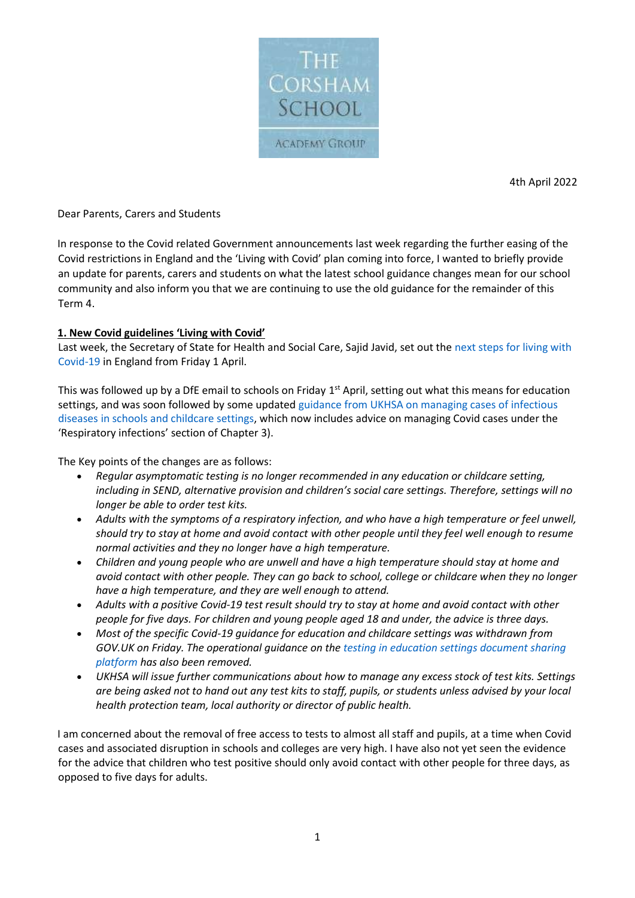

4th April 2022

## Dear Parents, Carers and Students

In response to the Covid related Government announcements last week regarding the further easing of the Covid restrictions in England and the 'Living with Covid' plan coming into force, I wanted to briefly provide an update for parents, carers and students on what the latest school guidance changes mean for our school community and also inform you that we are continuing to use the old guidance for the remainder of this Term 4.

## **1. New Covid guidelines 'Living with Covid'**

Last week, the Secretary of State for Health and Social Care, Sajid Javid, set out the [next steps for living with](https://eur01.safelinks.protection.outlook.com/?url=https%3A%2F%2Fascl.us7.list-manage.com%2Ftrack%2Fclick%3Fu%3Ddae6fbf66d6135a8a21b3627d%26id%3D27a1029a7f%26e%3Df4fda47392&data=04%7C01%7CRBell%40corsham.wilts.sch.uk%7Cbd78c68bb70b4c60757a08da15b08d6a%7Cae2d489627854217a0ae572acf3597f9%7C0%7C0%7C637846145273910074%7CUnknown%7CTWFpbGZsb3d8eyJWIjoiMC4wLjAwMDAiLCJQIjoiV2luMzIiLCJBTiI6Ik1haWwiLCJXVCI6Mn0%3D%7C3000&sdata=XTirF4f5OOdqq5D7L07WxXA6Jiw3N98Ia0H9YPWVAq0%3D&reserved=0)  [Covid-19](https://eur01.safelinks.protection.outlook.com/?url=https%3A%2F%2Fascl.us7.list-manage.com%2Ftrack%2Fclick%3Fu%3Ddae6fbf66d6135a8a21b3627d%26id%3D27a1029a7f%26e%3Df4fda47392&data=04%7C01%7CRBell%40corsham.wilts.sch.uk%7Cbd78c68bb70b4c60757a08da15b08d6a%7Cae2d489627854217a0ae572acf3597f9%7C0%7C0%7C637846145273910074%7CUnknown%7CTWFpbGZsb3d8eyJWIjoiMC4wLjAwMDAiLCJQIjoiV2luMzIiLCJBTiI6Ik1haWwiLCJXVCI6Mn0%3D%7C3000&sdata=XTirF4f5OOdqq5D7L07WxXA6Jiw3N98Ia0H9YPWVAq0%3D&reserved=0) in England from Friday 1 April.

This was followed up by a DfE email to schools on Friday 1<sup>st</sup> April, setting out what this means for education settings, and was soon followed by some updated guidance from UKHSA on managing cases of infectious diseases [in schools and childcare settings,](https://eur01.safelinks.protection.outlook.com/?url=https%3A%2F%2Fascl.us7.list-manage.com%2Ftrack%2Fclick%3Fu%3Ddae6fbf66d6135a8a21b3627d%26id%3D850363a1d1%26e%3Df4fda47392&data=04%7C01%7CRBell%40corsham.wilts.sch.uk%7Cbd78c68bb70b4c60757a08da15b08d6a%7Cae2d489627854217a0ae572acf3597f9%7C0%7C0%7C637846145273910074%7CUnknown%7CTWFpbGZsb3d8eyJWIjoiMC4wLjAwMDAiLCJQIjoiV2luMzIiLCJBTiI6Ik1haWwiLCJXVCI6Mn0%3D%7C3000&sdata=GMUyR%2FYRurtrPFphHHaA6Pi%2FHCHB5SKjZ6rQNgRmXJE%3D&reserved=0) which now includes advice on managing Covid cases under the 'Respiratory infections' section of Chapter 3).

The Key points of the changes are as follows:

- *Regular asymptomatic testing is no longer recommended in any education or childcare setting, including in SEND, alternative provision and children's social care settings. Therefore, settings will no longer be able to order test kits.*
- *Adults with the symptoms of a respiratory infection, and who have a high temperature or feel unwell, should try to stay at home and avoid contact with other people until they feel well enough to resume normal activities and they no longer have a high temperature.*
- *Children and young people who are unwell and have a high temperature should stay at home and avoid contact with other people. They can go back to school, college or childcare when they no longer have a high temperature, and they are well enough to attend.*
- *Adults with a positive Covid-19 test result should try to stay at home and avoid contact with other people for five days. For children and young people aged 18 and under, the advice is three days.*
- *Most of the specific Covid-19 guidance for education and childcare settings was withdrawn from GOV.UK on Friday. The operational guidance on the [testing in education settings document sharing](https://eur01.safelinks.protection.outlook.com/?url=https%3A%2F%2Fascl.us7.list-manage.com%2Ftrack%2Fclick%3Fu%3Ddae6fbf66d6135a8a21b3627d%26id%3D73855a4b3d%26e%3Df4fda47392&data=04%7C01%7CRBell%40corsham.wilts.sch.uk%7Cbd78c68bb70b4c60757a08da15b08d6a%7Cae2d489627854217a0ae572acf3597f9%7C0%7C0%7C637846145273910074%7CUnknown%7CTWFpbGZsb3d8eyJWIjoiMC4wLjAwMDAiLCJQIjoiV2luMzIiLCJBTiI6Ik1haWwiLCJXVCI6Mn0%3D%7C3000&sdata=x8V9ertnlnnW3J6IiOH%2BxEBVYbpKYunrJuSCm3NVxxg%3D&reserved=0)  [platform](https://eur01.safelinks.protection.outlook.com/?url=https%3A%2F%2Fascl.us7.list-manage.com%2Ftrack%2Fclick%3Fu%3Ddae6fbf66d6135a8a21b3627d%26id%3D73855a4b3d%26e%3Df4fda47392&data=04%7C01%7CRBell%40corsham.wilts.sch.uk%7Cbd78c68bb70b4c60757a08da15b08d6a%7Cae2d489627854217a0ae572acf3597f9%7C0%7C0%7C637846145273910074%7CUnknown%7CTWFpbGZsb3d8eyJWIjoiMC4wLjAwMDAiLCJQIjoiV2luMzIiLCJBTiI6Ik1haWwiLCJXVCI6Mn0%3D%7C3000&sdata=x8V9ertnlnnW3J6IiOH%2BxEBVYbpKYunrJuSCm3NVxxg%3D&reserved=0) has also been removed.*
- *UKHSA will issue further communications about how to manage any excess stock of test kits. Settings are being asked not to hand out any test kits to staff, pupils, or students unless advised by your local health protection team, local authority or director of public health.*

I am concerned about the removal of free access to tests to almost all staff and pupils, at a time when Covid cases and associated disruption in schools and colleges are very high. I have also not yet seen the evidence for the advice that children who test positive should only avoid contact with other people for three days, as opposed to five days for adults.